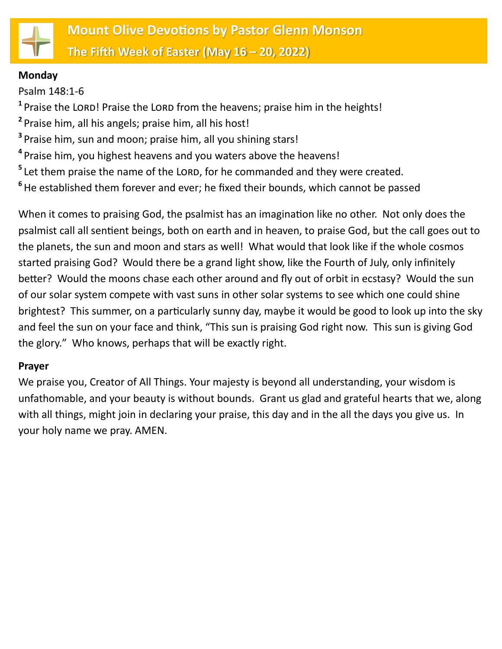

#### **Monday**

Psalm 148:1-6

<sup>1</sup> Praise the LORD! Praise the LORD from the heavens; praise him in the heights!

- **2** Praise him, all his angels; praise him, all his host!
- **3** Praise him, sun and moon; praise him, all you shining stars!
- **4** Praise him, you highest heavens and you waters above the heavens!
- <sup>5</sup> Let them praise the name of the LORD, for he commanded and they were created.
- **6** He established them forever and ever; he fixed their bounds, which cannot be passed

When it comes to praising God, the psalmist has an imagination like no other. Not only does the psalmist call all sentient beings, both on earth and in heaven, to praise God, but the call goes out to the planets, the sun and moon and stars as well! What would that look like if the whole cosmos started praising God? Would there be a grand light show, like the Fourth of July, only infinitely better? Would the moons chase each other around and fly out of orbit in ecstasy? Would the sun of our solar system compete with vast suns in other solar systems to see which one could shine brightest? This summer, on a particularly sunny day, maybe it would be good to look up into the sky and feel the sun on your face and think, "This sun is praising God right now. This sun is giving God the glory." Who knows, perhaps that will be exactly right.

# **Prayer**

We praise you, Creator of All Things. Your majesty is beyond all understanding, your wisdom is unfathomable, and your beauty is without bounds. Grant us glad and grateful hearts that we, along with all things, might join in declaring your praise, this day and in the all the days you give us. In your holy name we pray. AMEN.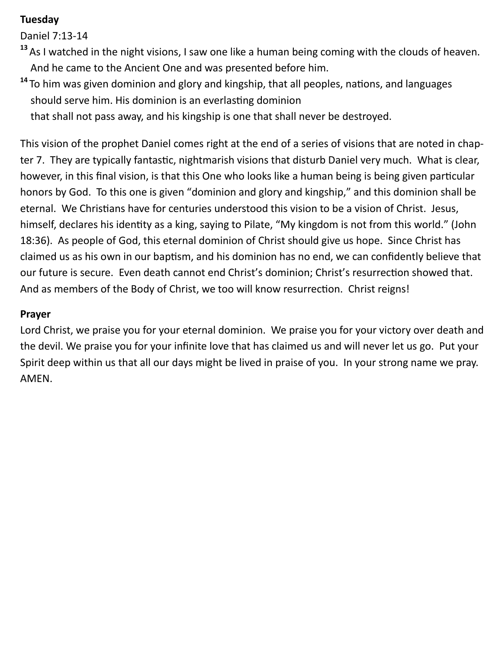# **Tuesday**

Daniel 7:13-14

- **<sup>13</sup>**As I watched in the night visions, I saw one like a human being coming with the clouds of heaven. And he came to the Ancient One and was presented before him.
- **<sup>14</sup>** To him was given dominion and glory and kingship, that all peoples, nations, and languages should serve him. His dominion is an everlasting dominion

that shall not pass away, and his kingship is one that shall never be destroyed.

This vision of the prophet Daniel comes right at the end of a series of visions that are noted in chapter 7. They are typically fantastic, nightmarish visions that disturb Daniel very much. What is clear, however, in this final vision, is that this One who looks like a human being is being given particular honors by God. To this one is given "dominion and glory and kingship," and this dominion shall be eternal. We Christians have for centuries understood this vision to be a vision of Christ. Jesus, himself, declares his identity as a king, saying to Pilate, "My kingdom is not from this world." (John 18:36). As people of God, this eternal dominion of Christ should give us hope. Since Christ has claimed us as his own in our baptism, and his dominion has no end, we can confidently believe that our future is secure. Even death cannot end Christ's dominion; Christ's resurrection showed that. And as members of the Body of Christ, we too will know resurrection. Christ reigns!

# **Prayer**

Lord Christ, we praise you for your eternal dominion. We praise you for your victory over death and the devil. We praise you for your infinite love that has claimed us and will never let us go. Put your Spirit deep within us that all our days might be lived in praise of you. In your strong name we pray. AMEN.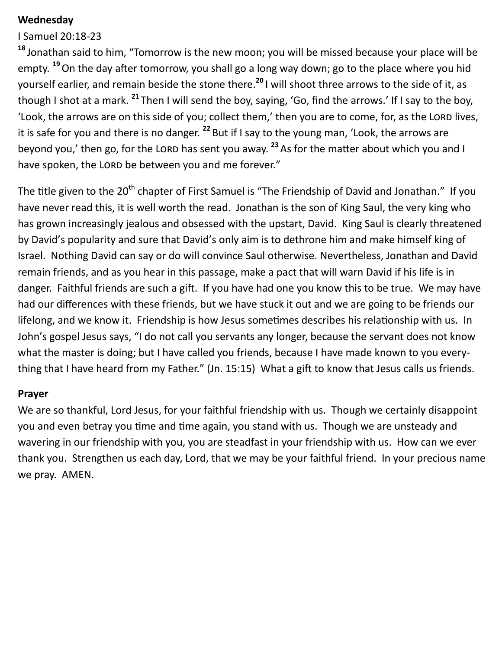### **Wednesday**

I Samuel 20:18-23

**<sup>18</sup>** Jonathan said to him, "Tomorrow is the new moon; you will be missed because your place will be empty. **<sup>19</sup>**On the day after tomorrow, you shall go a long way down; go to the place where you hid yourself earlier, and remain beside the stone there.**<sup>20</sup>** I will shoot three arrows to the side of it, as though I shot at a mark. **<sup>21</sup>** Then I will send the boy, saying, 'Go, find the arrows.' If I say to the boy, 'Look, the arrows are on this side of you; collect them,' then you are to come, for, as the LORD lives, it is safe for you and there is no danger. **<sup>22</sup>** But if I say to the young man, 'Look, the arrows are beyond you,' then go, for the LORD has sent you away.<sup>23</sup> As for the matter about which you and I have spoken, the LORD be between you and me forever."

The title given to the 20<sup>th</sup> chapter of First Samuel is "The Friendship of David and Jonathan." If you have never read this, it is well worth the read. Jonathan is the son of King Saul, the very king who has grown increasingly jealous and obsessed with the upstart, David. King Saul is clearly threatened by David's popularity and sure that David's only aim is to dethrone him and make himself king of Israel. Nothing David can say or do will convince Saul otherwise. Nevertheless, Jonathan and David remain friends, and as you hear in this passage, make a pact that will warn David if his life is in danger. Faithful friends are such a gift. If you have had one you know this to be true. We may have had our differences with these friends, but we have stuck it out and we are going to be friends our lifelong, and we know it. Friendship is how Jesus sometimes describes his relationship with us. In John's gospel Jesus says, "I do not call you servants any longer, because the servant does not know what the master is doing; but I have called you friends, because I have made known to you everything that I have heard from my Father." (Jn. 15:15) What a gift to know that Jesus calls us friends.

### **Prayer**

We are so thankful, Lord Jesus, for your faithful friendship with us. Though we certainly disappoint you and even betray you time and time again, you stand with us. Though we are unsteady and wavering in our friendship with you, you are steadfast in your friendship with us. How can we ever thank you. Strengthen us each day, Lord, that we may be your faithful friend. In your precious name we pray. AMEN.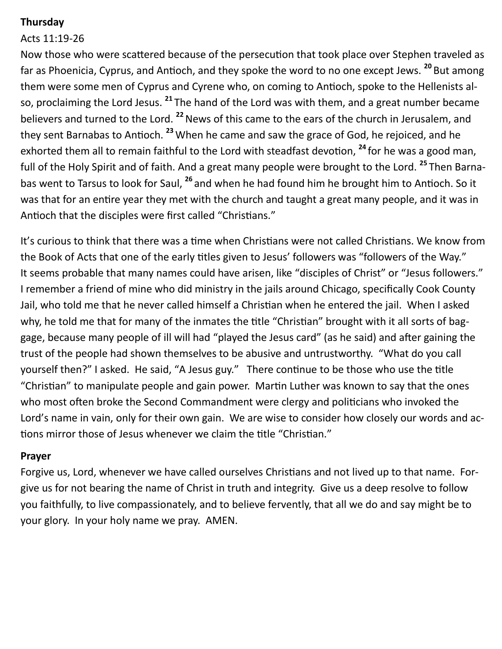## **Thursday**

# Acts 11:19-26

Now those who were scattered because of the persecution that took place over Stephen traveled as far as Phoenicia, Cyprus, and Antioch, and they spoke the word to no one except Jews. **<sup>20</sup>** But among them were some men of Cyprus and Cyrene who, on coming to Antioch, spoke to the Hellenists also, proclaiming the Lord Jesus. **<sup>21</sup>** The hand of the Lord was with them, and a great number became believers and turned to the Lord. **<sup>22</sup>**News of this came to the ears of the church in Jerusalem, and they sent Barnabas to Antioch. **<sup>23</sup>** When he came and saw the grace of God, he rejoiced, and he exhorted them all to remain faithful to the Lord with steadfast devotion, **<sup>24</sup>** for he was a good man, full of the Holy Spirit and of faith. And a great many people were brought to the Lord. **<sup>25</sup>** Then Barnabas went to Tarsus to look for Saul, **<sup>26</sup>** and when he had found him he brought him to Antioch. So it was that for an entire year they met with the church and taught a great many people, and it was in Antioch that the disciples were first called "Christians."

It's curious to think that there was a time when Christians were not called Christians. We know from the Book of Acts that one of the early titles given to Jesus' followers was "followers of the Way." It seems probable that many names could have arisen, like "disciples of Christ" or "Jesus followers." I remember a friend of mine who did ministry in the jails around Chicago, specifically Cook County Jail, who told me that he never called himself a Christian when he entered the jail. When I asked why, he told me that for many of the inmates the title "Christian" brought with it all sorts of baggage, because many people of ill will had "played the Jesus card" (as he said) and after gaining the trust of the people had shown themselves to be abusive and untrustworthy. "What do you call yourself then?" I asked. He said, "A Jesus guy." There continue to be those who use the title "Christian" to manipulate people and gain power. Martin Luther was known to say that the ones who most often broke the Second Commandment were clergy and politicians who invoked the Lord's name in vain, only for their own gain. We are wise to consider how closely our words and actions mirror those of Jesus whenever we claim the title "Christian."

### **Prayer**

Forgive us, Lord, whenever we have called ourselves Christians and not lived up to that name. Forgive us for not bearing the name of Christ in truth and integrity. Give us a deep resolve to follow you faithfully, to live compassionately, and to believe fervently, that all we do and say might be to your glory. In your holy name we pray. AMEN.